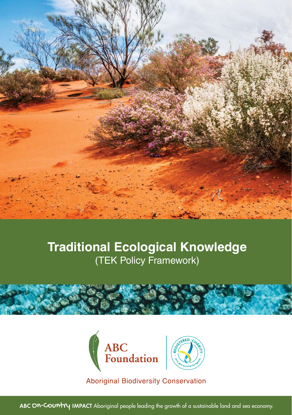

### **Traditional Ecological Knowledge** (TEK Policy Framework)







**Aboriginal Biodiversity Conservation** 

ABC ON-COUNTY IMPACT Aboriginal people leading the growth of a sustainable land and sea economy.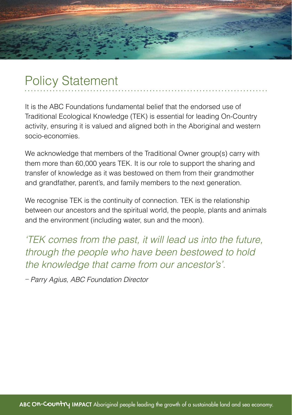

## Policy Statement

It is the ABC Foundations fundamental belief that the endorsed use of Traditional Ecological Knowledge (TEK) is essential for leading On-Country activity, ensuring it is valued and aligned both in the Aboriginal and western socio-economies.

We acknowledge that members of the Traditional Owner group(s) carry with them more than 60,000 years TEK. It is our role to support the sharing and transfer of knowledge as it was bestowed on them from their grandmother and grandfather, parent's, and family members to the next generation.

We recognise TEK is the continuity of connection. TEK is the relationship between our ancestors and the spiritual world, the people, plants and animals and the environment (including water, sun and the moon).

*'TEK comes from the past, it will lead us into the future, through the people who have been bestowed to hold the knowledge that came from our ancestor's'.*

*– Parry Agius, ABC Foundation Director*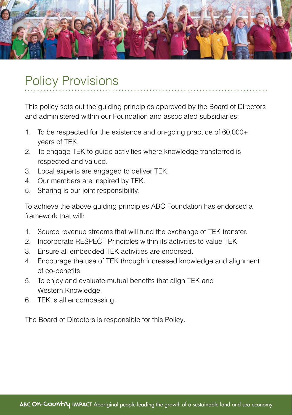

# Policy Provisions

This policy sets out the guiding principles approved by the Board of Directors and administered within our Foundation and associated subsidiaries:

- 1. To be respected for the existence and on-going practice of 60,000+ years of TEK.
- 2. To engage TEK to guide activities where knowledge transferred is respected and valued.
- 3. Local experts are engaged to deliver TEK.
- 4. Our members are inspired by TEK.
- 5. Sharing is our joint responsibility.

To achieve the above guiding principles ABC Foundation has endorsed a framework that will:

- 1. Source revenue streams that will fund the exchange of TEK transfer.
- 2. Incorporate RESPECT Principles within its activities to value TEK.
- 3. Ensure all embedded TEK activities are endorsed.
- 4. Encourage the use of TEK through increased knowledge and alignment of co-benefits.
- 5. To enjoy and evaluate mutual benefits that align TEK and Western Knowledge.
- 6. TEK is all encompassing.

The Board of Directors is responsible for this Policy.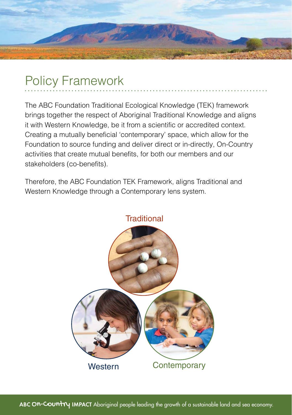

# Policy Framework

The ABC Foundation Traditional Ecological Knowledge (TEK) framework brings together the respect of Aboriginal Traditional Knowledge and aligns it with Western Knowledge, be it from a scientific or accredited context. Creating a mutually beneficial 'contemporary' space, which allow for the Foundation to source funding and deliver direct or in-directly, On-Country activities that create mutual benefits, for both our members and our stakeholders (co-benefits).

Therefore, the ABC Foundation TEK Framework, aligns Traditional and Western Knowledge through a Contemporary lens system.

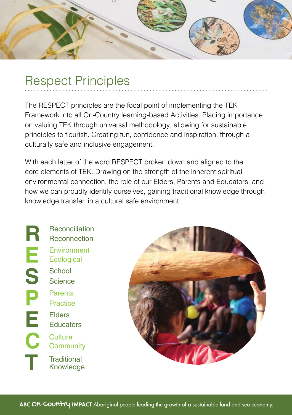

## Respect Principles

The RESPECT principles are the focal point of implementing the TEK Framework into all On-Country learning-based Activities. Placing importance on valuing TEK through universal methodology, allowing for sustainable principles to flourish. Creating fun, confidence and inspiration, through a culturally safe and inclusive engagement.

With each letter of the word RESPECT broken down and aligned to the core elements of TEK. Drawing on the strength of the inherent spiritual environmental connection, the role of our Elders, Parents and Educators, and how we can proudly identify ourselves, gaining traditional knowledge through knowledge transfer, in a cultural safe environment.

**R E S P E C T** Reconciliation Reconnection **Environment Ecological** School Parents Elders **Culture** Science **Practice Educators Community Traditional** Knowledge

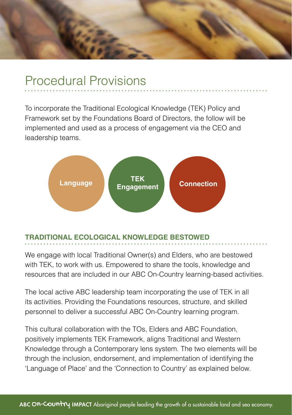### Procedural Provisions

To incorporate the Traditional Ecological Knowledge (TEK) Policy and Framework set by the Foundations Board of Directors, the follow will be implemented and used as a process of engagement via the CEO and leadership teams.



### **TRADITIONAL ECOLOGICAL KNOWLEDGE BESTOWED**

We engage with local Traditional Owner(s) and Elders, who are bestowed with TEK, to work with us. Empowered to share the tools, knowledge and resources that are included in our ABC On-Country learning-based activities.

The local active ABC leadership team incorporating the use of TEK in all its activities. Providing the Foundations resources, structure, and skilled personnel to deliver a successful ABC On-Country learning program.

This cultural collaboration with the TOs, Elders and ABC Foundation, positively implements TEK Framework, aligns Traditional and Western Knowledge through a Contemporary lens system. The two elements will be through the inclusion, endorsement, and implementation of identifying the 'Language of Place' and the 'Connection to Country' as explained below.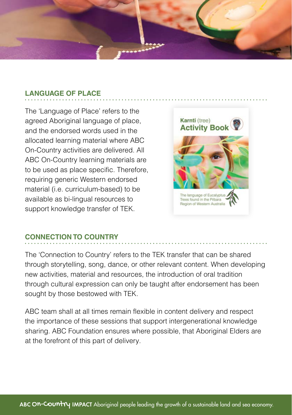

#### **LANGUAGE OF PLACE**

The 'Language of Place' refers to the agreed Aboriginal language of place, and the endorsed words used in the allocated learning material where ABC On-Country activities are delivered. All ABC On-Country learning materials are to be used as place specific. Therefore, requiring generic Western endorsed material (i.e. curriculum-based) to be available as bi-lingual resources to support knowledge transfer of TEK.



### **CONNECTION TO COUNTRY**

The 'Connection to Country' refers to the TEK transfer that can be shared through storytelling, song, dance, or other relevant content. When developing new activities, material and resources, the introduction of oral tradition through cultural expression can only be taught after endorsement has been sought by those bestowed with TEK.

ABC team shall at all times remain flexible in content delivery and respect the importance of these sessions that support intergenerational knowledge sharing. ABC Foundation ensures where possible, that Aboriginal Elders are at the forefront of this part of delivery.